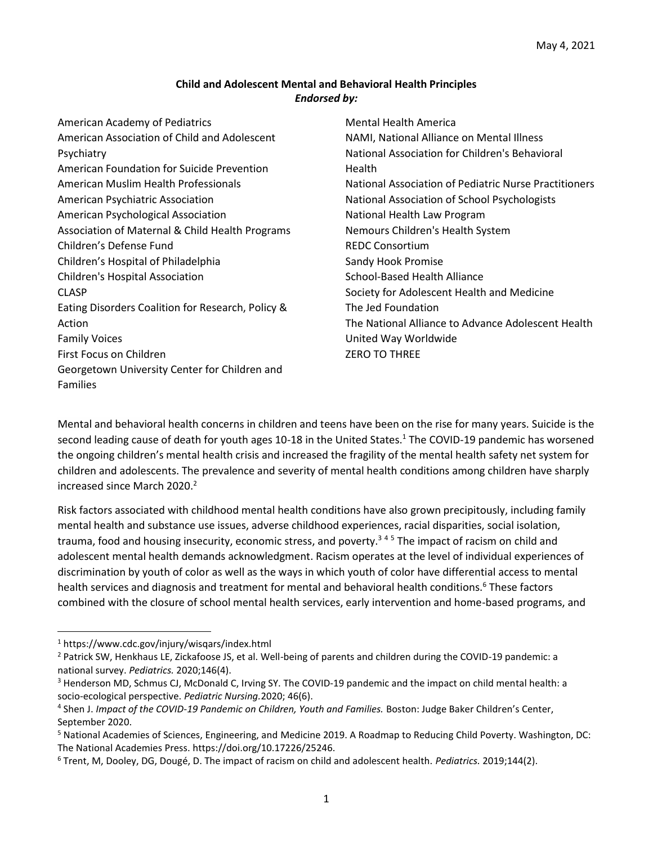## **Child and Adolescent Mental and Behavioral Health Principles** *Endorsed by:*

| Mental Health America                                 |
|-------------------------------------------------------|
| NAMI, National Alliance on Mental Illness             |
| National Association for Children's Behavioral        |
| Health                                                |
| National Association of Pediatric Nurse Practitioners |
| National Association of School Psychologists          |
| National Health Law Program                           |
| Nemours Children's Health System                      |
| <b>REDC Consortium</b>                                |
| Sandy Hook Promise                                    |
| School-Based Health Alliance                          |
| Society for Adolescent Health and Medicine            |
| The Jed Foundation                                    |
| The National Alliance to Advance Adolescent Health    |
| United Way Worldwide                                  |
| <b>ZERO TO THREE</b>                                  |
|                                                       |
|                                                       |
|                                                       |

Mental and behavioral health concerns in children and teens have been on the rise for many years. Suicide is the second leading cause of death for youth ages 10-18 in the United States.<sup>1</sup> The COVID-19 pandemic has worsened the ongoing children's mental health crisis and increased the fragility of the mental health safety net system for children and adolescents. The prevalence and severity of mental health conditions among children have sharply increased since March 2020.<sup>2</sup>

Risk factors associated with childhood mental health conditions have also grown precipitously, including family mental health and substance use issues, adverse childhood experiences, racial disparities, social isolation, trauma, food and housing insecurity, economic stress, and poverty. <sup>3</sup> <sup>4</sup> <sup>5</sup> The impact of racism on child and adolescent mental health demands acknowledgment. Racism operates at the level of individual experiences of discrimination by youth of color as well as the ways in which youth of color have differential access to mental health services and diagnosis and treatment for mental and behavioral health conditions.<sup>6</sup> These factors combined with the closure of school mental health services, early intervention and home-based programs, and

<sup>1</sup> https://www.cdc.gov/injury/wisqars/index.html

<sup>&</sup>lt;sup>2</sup> Patrick SW, Henkhaus LE, Zickafoose JS, et al. Well-being of parents and children during the COVID-19 pandemic: a national survey. *Pediatrics.* 2020;146(4).

<sup>3</sup> Henderson MD, Schmus CJ, McDonald C, Irving SY. The COVID-19 pandemic and the impact on child mental health: a socio-ecological perspective. *Pediatric Nursing.*2020; 46(6).

<sup>4</sup> Shen J. *Impact of the COVID-19 Pandemic on Children, Youth and Families.* Boston: Judge Baker Children's Center, September 2020.

<sup>5</sup> National Academies of Sciences, Engineering, and Medicine 2019. A Roadmap to Reducing Child Poverty. Washington, DC: The National Academies Press. https://doi.org/10.17226/25246.

<sup>6</sup> Trent, M, Dooley, DG, Dougé, D. The impact of racism on child and adolescent health. *Pediatrics.* 2019;144(2).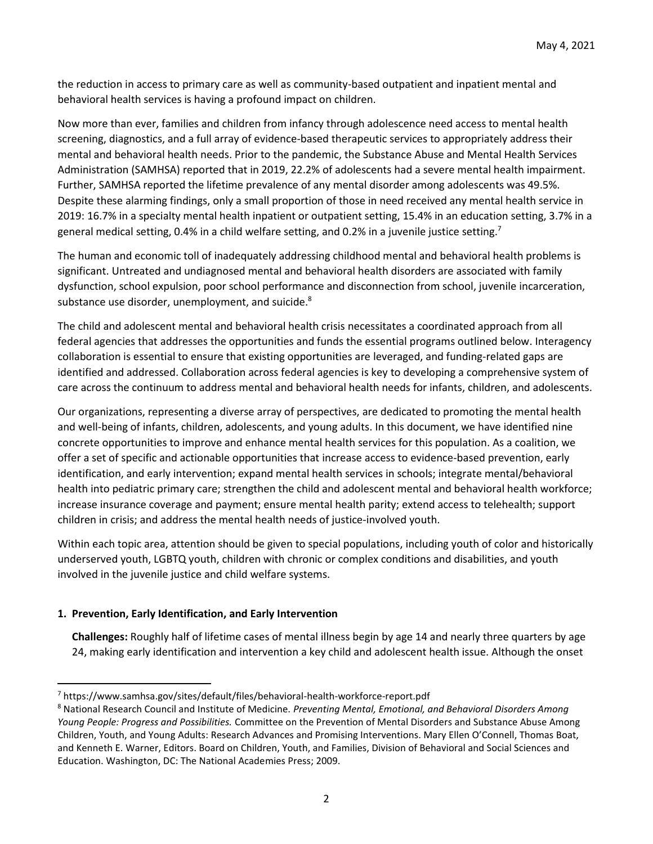the reduction in access to primary care as well as community-based outpatient and inpatient mental and behavioral health services is having a profound impact on children.

Now more than ever, families and children from infancy through adolescence need access to mental health screening, diagnostics, and a full array of evidence-based therapeutic services to appropriately address their mental and behavioral health needs. Prior to the pandemic, the Substance Abuse and Mental Health Services Administration (SAMHSA) reported that in 2019, 22.2% of adolescents had a severe mental health impairment. Further, SAMHSA reported the lifetime prevalence of any mental disorder among adolescents was 49.5%. Despite these alarming findings, only a small proportion of those in need received any mental health service in 2019: 16.7% in a specialty mental health inpatient or outpatient setting, 15.4% in an education setting, 3.7% in a general medical setting, 0.4% in a child welfare setting, and 0.2% in a juvenile justice setting.<sup>7</sup>

The human and economic toll of inadequately addressing childhood mental and behavioral health problems is significant. Untreated and undiagnosed mental and behavioral health disorders are associated with family dysfunction, school expulsion, poor school performance and disconnection from school, juvenile incarceration, substance use disorder, unemployment, and suicide.<sup>8</sup>

The child and adolescent mental and behavioral health crisis necessitates a coordinated approach from all federal agencies that addresses the opportunities and funds the essential programs outlined below. Interagency collaboration is essential to ensure that existing opportunities are leveraged, and funding-related gaps are identified and addressed. Collaboration across federal agencies is key to developing a comprehensive system of care across the continuum to address mental and behavioral health needs for infants, children, and adolescents.

Our organizations, representing a diverse array of perspectives, are dedicated to promoting the mental health and well-being of infants, children, adolescents, and young adults. In this document, we have identified nine concrete opportunities to improve and enhance mental health services for this population. As a coalition, we offer a set of specific and actionable opportunities that increase access to evidence-based prevention, early identification, and early intervention; expand mental health services in schools; integrate mental/behavioral health into pediatric primary care; strengthen the child and adolescent mental and behavioral health workforce; increase insurance coverage and payment; ensure mental health parity; extend access to telehealth; support children in crisis; and address the mental health needs of justice-involved youth.

Within each topic area, attention should be given to special populations, including youth of color and historically underserved youth, LGBTQ youth, children with chronic or complex conditions and disabilities, and youth involved in the juvenile justice and child welfare systems.

# **1. Prevention, Early Identification, and Early Intervention**

**Challenges:** Roughly half of lifetime cases of mental illness begin by age 14 and nearly three quarters by age 24, making early identification and intervention a key child and adolescent health issue. Although the onset

<sup>7</sup> https://www.samhsa.gov/sites/default/files/behavioral-health-workforce-report.pdf

<sup>8</sup> National Research Council and Institute of Medicine. *Preventing Mental, Emotional, and Behavioral Disorders Among Young People: Progress and Possibilities.* Committee on the Prevention of Mental Disorders and Substance Abuse Among Children, Youth, and Young Adults: Research Advances and Promising Interventions. Mary Ellen O'Connell, Thomas Boat, and Kenneth E. Warner, Editors. Board on Children, Youth, and Families, Division of Behavioral and Social Sciences and Education. Washington, DC: The National Academies Press; 2009.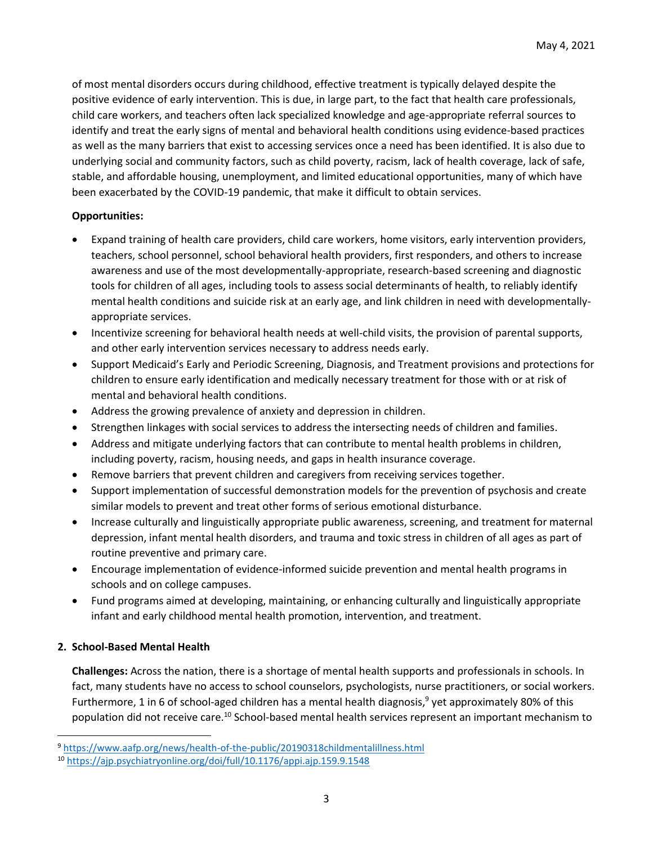of most mental disorders occurs during childhood, effective treatment is typically delayed despite the positive evidence of early intervention. This is due, in large part, to the fact that health care professionals, child care workers, and teachers often lack specialized knowledge and age-appropriate referral sources to identify and treat the early signs of mental and behavioral health conditions using evidence-based practices as well as the many barriers that exist to accessing services once a need has been identified. It is also due to underlying social and community factors, such as child poverty, racism, lack of health coverage, lack of safe, stable, and affordable housing, unemployment, and limited educational opportunities, many of which have been exacerbated by the COVID-19 pandemic, that make it difficult to obtain services.

## **Opportunities:**

- Expand training of health care providers, child care workers, home visitors, early intervention providers, teachers, school personnel, school behavioral health providers, first responders, and others to increase awareness and use of the most developmentally-appropriate, research-based screening and diagnostic tools for children of all ages, including tools to assess social determinants of health, to reliably identify mental health conditions and suicide risk at an early age, and link children in need with developmentallyappropriate services.
- Incentivize screening for behavioral health needs at well-child visits, the provision of parental supports, and other early intervention services necessary to address needs early.
- Support Medicaid's Early and Periodic Screening, Diagnosis, and Treatment provisions and protections for children to ensure early identification and medically necessary treatment for those with or at risk of mental and behavioral health conditions.
- Address the growing prevalence of anxiety and depression in children.
- Strengthen linkages with social services to address the intersecting needs of children and families.
- Address and mitigate underlying factors that can contribute to mental health problems in children, including poverty, racism, housing needs, and gaps in health insurance coverage.
- Remove barriers that prevent children and caregivers from receiving services together.
- Support implementation of successful demonstration models for the prevention of psychosis and create similar models to prevent and treat other forms of serious emotional disturbance.
- Increase culturally and linguistically appropriate public awareness, screening, and treatment for maternal depression, infant mental health disorders, and trauma and toxic stress in children of all ages as part of routine preventive and primary care.
- Encourage implementation of evidence-informed suicide prevention and mental health programs in schools and on college campuses.
- Fund programs aimed at developing, maintaining, or enhancing culturally and linguistically appropriate infant and early childhood mental health promotion, intervention, and treatment.

# **2. School-Based Mental Health**

**Challenges:** Across the nation, there is a shortage of mental health supports and professionals in schools. In fact, many students have no access to school counselors, psychologists, nurse practitioners, or social workers. Furthermore, 1 in 6 of school-aged children has a mental health diagnosis,<sup>9</sup> yet approximately 80% of this population did not receive care.<sup>10</sup> School-based mental health services represent an important mechanism to

<sup>9</sup> <https://www.aafp.org/news/health-of-the-public/20190318childmentalillness.html>

<sup>10</sup> <https://ajp.psychiatryonline.org/doi/full/10.1176/appi.ajp.159.9.1548>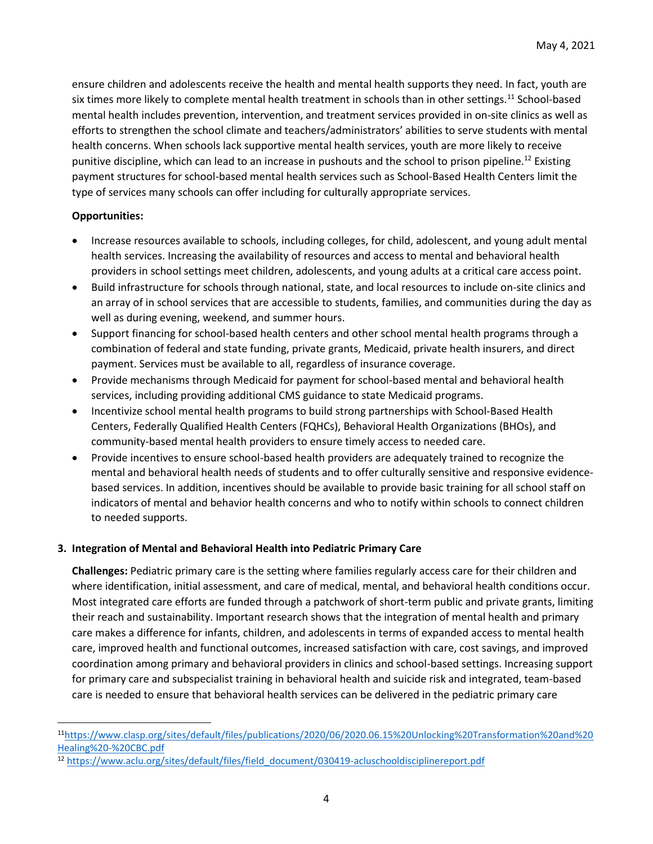ensure children and adolescents receive the health and mental health supports they need. In fact, youth are six times more likely to complete mental health treatment in schools than in other settings.<sup>11</sup> School-based mental health includes prevention, intervention, and treatment services provided in on-site clinics as well as efforts to strengthen the school climate and teachers/administrators' abilities to serve students with mental health concerns. When schools lack supportive mental health services, youth are more likely to receive punitive discipline, which can lead to an increase in pushouts and the school to prison pipeline.<sup>12</sup> Existing payment structures for school-based mental health services such as School-Based Health Centers limit the type of services many schools can offer including for culturally appropriate services.

## **Opportunities:**

- Increase resources available to schools, including colleges, for child, adolescent, and young adult mental health services. Increasing the availability of resources and access to mental and behavioral health providers in school settings meet children, adolescents, and young adults at a critical care access point.
- Build infrastructure for schools through national, state, and local resources to include on-site clinics and an array of in school services that are accessible to students, families, and communities during the day as well as during evening, weekend, and summer hours.
- Support financing for school-based health centers and other school mental health programs through a combination of federal and state funding, private grants, Medicaid, private health insurers, and direct payment. Services must be available to all, regardless of insurance coverage.
- Provide mechanisms through Medicaid for payment for school-based mental and behavioral health services, including providing additional CMS guidance to state Medicaid programs.
- Incentivize school mental health programs to build strong partnerships with School-Based Health Centers, Federally Qualified Health Centers (FQHCs), Behavioral Health Organizations (BHOs), and community-based mental health providers to ensure timely access to needed care.
- Provide incentives to ensure school-based health providers are adequately trained to recognize the mental and behavioral health needs of students and to offer culturally sensitive and responsive evidencebased services. In addition, incentives should be available to provide basic training for all school staff on indicators of mental and behavior health concerns and who to notify within schools to connect children to needed supports.

# **3. Integration of Mental and Behavioral Health into Pediatric Primary Care**

**Challenges:** Pediatric primary care is the setting where families regularly access care for their children and where identification, initial assessment, and care of medical, mental, and behavioral health conditions occur. Most integrated care efforts are funded through a patchwork of short-term public and private grants, limiting their reach and sustainability. Important research shows that the integration of mental health and primary care makes a difference for infants, children, and adolescents in terms of expanded access to mental health care, improved health and functional outcomes, increased satisfaction with care, cost savings, and improved coordination among primary and behavioral providers in clinics and school-based settings. Increasing support for primary care and subspecialist training in behavioral health and suicide risk and integrated, team-based care is needed to ensure that behavioral health services can be delivered in the pediatric primary care

<sup>11</sup>[https://www.clasp.org/sites/default/files/publications/2020/06/2020.06.15%20Unlocking%20Transformation%20and%20](https://www.clasp.org/sites/default/files/publications/2020/06/2020.06.15%20Unlocking%20Transformation%20and%20Healing%20-%20CBC.pdf) [Healing%20-%20CBC.pdf](https://www.clasp.org/sites/default/files/publications/2020/06/2020.06.15%20Unlocking%20Transformation%20and%20Healing%20-%20CBC.pdf)

<sup>12</sup> [https://www.aclu.org/sites/default/files/field\\_document/030419-acluschooldisciplinereport.pdf](https://www.aclu.org/sites/default/files/field_document/030419-acluschooldisciplinereport.pdf)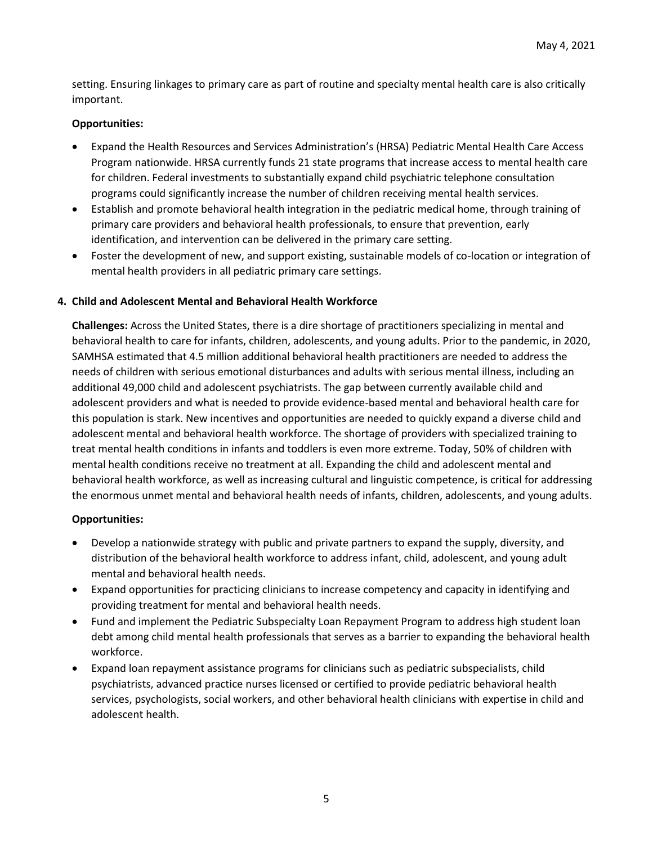setting. Ensuring linkages to primary care as part of routine and specialty mental health care is also critically important.

## **Opportunities:**

- Expand the Health Resources and Services Administration's (HRSA) Pediatric Mental Health Care Access Program nationwide. HRSA currently funds 21 state programs that increase access to mental health care for children. Federal investments to substantially expand child psychiatric telephone consultation programs could significantly increase the number of children receiving mental health services.
- Establish and promote behavioral health integration in the pediatric medical home, through training of primary care providers and behavioral health professionals, to ensure that prevention, early identification, and intervention can be delivered in the primary care setting.
- Foster the development of new, and support existing, sustainable models of co-location or integration of mental health providers in all pediatric primary care settings.

## **4. Child and Adolescent Mental and Behavioral Health Workforce**

**Challenges:** Across the United States, there is a dire shortage of practitioners specializing in mental and behavioral health to care for infants, children, adolescents, and young adults. Prior to the pandemic, in 2020, SAMHSA estimated that 4.5 million additional behavioral health practitioners are needed to address the needs of children with serious emotional disturbances and adults with serious mental illness, including an additional 49,000 child and adolescent psychiatrists. The gap between currently available child and adolescent providers and what is needed to provide evidence-based mental and behavioral health care for this population is stark. New incentives and opportunities are needed to quickly expand a diverse child and adolescent mental and behavioral health workforce. The shortage of providers with specialized training to treat mental health conditions in infants and toddlers is even more extreme. Today, 50% of children with mental health conditions receive no treatment at all. Expanding the child and adolescent mental and behavioral health workforce, as well as increasing cultural and linguistic competence, is critical for addressing the enormous unmet mental and behavioral health needs of infants, children, adolescents, and young adults.

- Develop a nationwide strategy with public and private partners to expand the supply, diversity, and distribution of the behavioral health workforce to address infant, child, adolescent, and young adult mental and behavioral health needs.
- Expand opportunities for practicing clinicians to increase competency and capacity in identifying and providing treatment for mental and behavioral health needs.
- Fund and implement the Pediatric Subspecialty Loan Repayment Program to address high student loan debt among child mental health professionals that serves as a barrier to expanding the behavioral health workforce.
- Expand loan repayment assistance programs for clinicians such as pediatric subspecialists, child psychiatrists, advanced practice nurses licensed or certified to provide pediatric behavioral health services, psychologists, social workers, and other behavioral health clinicians with expertise in child and adolescent health.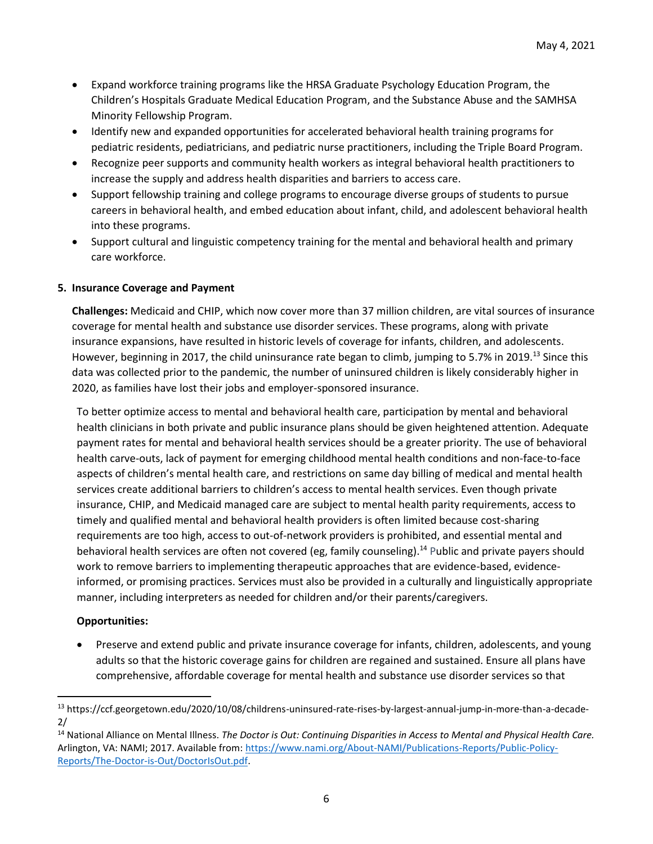- Expand workforce training programs like the HRSA Graduate Psychology Education Program, the Children's Hospitals Graduate Medical Education Program, and the Substance Abuse and the SAMHSA Minority Fellowship Program.
- Identify new and expanded opportunities for accelerated behavioral health training programs for pediatric residents, pediatricians, and pediatric nurse practitioners, including the Triple Board Program.
- Recognize peer supports and community health workers as integral behavioral health practitioners to increase the supply and address health disparities and barriers to access care.
- Support fellowship training and college programs to encourage diverse groups of students to pursue careers in behavioral health, and embed education about infant, child, and adolescent behavioral health into these programs.
- Support cultural and linguistic competency training for the mental and behavioral health and primary care workforce.

## **5. Insurance Coverage and Payment**

**Challenges:** Medicaid and CHIP, which now cover more than 37 million children, are vital sources of insurance coverage for mental health and substance use disorder services. These programs, along with private insurance expansions, have resulted in historic levels of coverage for infants, children, and adolescents. However, beginning in 2017, the child uninsurance rate began to climb, jumping to 5.7% in 2019.<sup>13</sup> Since this data was collected prior to the pandemic, the number of uninsured children is likely considerably higher in 2020, as families have lost their jobs and employer-sponsored insurance.

To better optimize access to mental and behavioral health care, participation by mental and behavioral health clinicians in both private and public insurance plans should be given heightened attention. Adequate payment rates for mental and behavioral health services should be a greater priority. The use of behavioral health carve-outs, lack of payment for emerging childhood mental health conditions and non-face-to-face aspects of children's mental health care, and restrictions on same day billing of medical and mental health services create additional barriers to children's access to mental health services. Even though private insurance, CHIP, and Medicaid managed care are subject to mental health parity requirements, access to timely and qualified mental and behavioral health providers is often limited because cost-sharing requirements are too high, access to out-of-network providers is prohibited, and essential mental and behavioral health services are often not covered (eg, family counseling).<sup>14</sup> Public and private payers should work to remove barriers to implementing therapeutic approaches that are evidence-based, evidenceinformed, or promising practices. Services must also be provided in a culturally and linguistically appropriate manner, including interpreters as needed for children and/or their parents/caregivers.

# **Opportunities:**

• Preserve and extend public and private insurance coverage for infants, children, adolescents, and young adults so that the historic coverage gains for children are regained and sustained. Ensure all plans have comprehensive, affordable coverage for mental health and substance use disorder services so that

<sup>13</sup> https://ccf.georgetown.edu/2020/10/08/childrens-uninsured-rate-rises-by-largest-annual-jump-in-more-than-a-decade-2/

<sup>14</sup> National Alliance on Mental Illness. *The Doctor is Out: Continuing Disparities in Access to Mental and Physical Health Care.*  Arlington, VA: NAMI; 2017. Available from: [https://www.nami.org/About-NAMI/Publications-Reports/Public-Policy-](https://www.nami.org/About-NAMI/Publications-Reports/Public-Policy-Reports/The-Doctor-is-Out/DoctorIsOut.pdf)[Reports/The-Doctor-is-Out/DoctorIsOut.pdf.](https://www.nami.org/About-NAMI/Publications-Reports/Public-Policy-Reports/The-Doctor-is-Out/DoctorIsOut.pdf)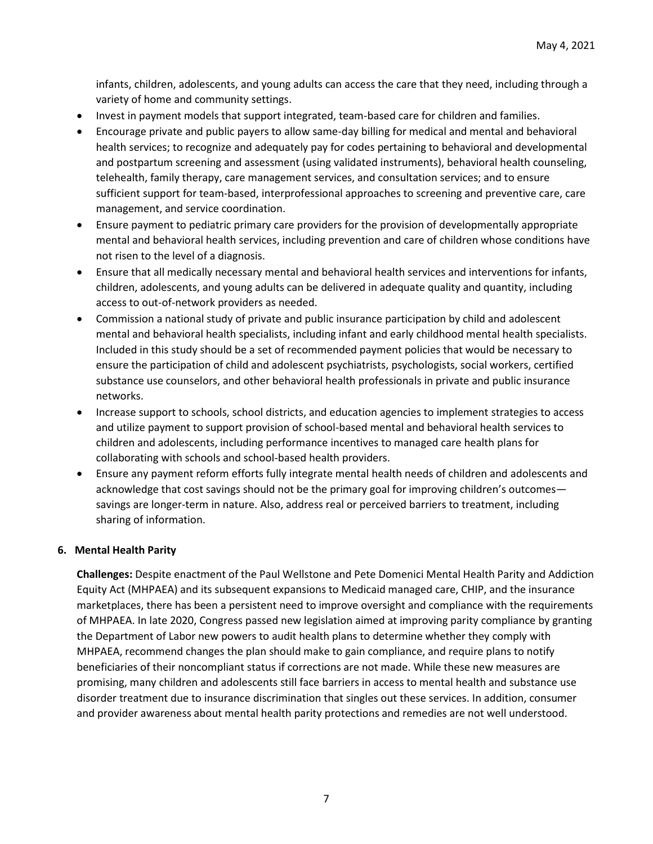infants, children, adolescents, and young adults can access the care that they need, including through a variety of home and community settings.

- Invest in payment models that support integrated, team-based care for children and families.
- Encourage private and public payers to allow same-day billing for medical and mental and behavioral health services; to recognize and adequately pay for codes pertaining to behavioral and developmental and postpartum screening and assessment (using validated instruments), behavioral health counseling, telehealth, family therapy, care management services, and consultation services; and to ensure sufficient support for team-based, interprofessional approaches to screening and preventive care, care management, and service coordination.
- Ensure payment to pediatric primary care providers for the provision of developmentally appropriate mental and behavioral health services, including prevention and care of children whose conditions have not risen to the level of a diagnosis.
- Ensure that all medically necessary mental and behavioral health services and interventions for infants, children, adolescents, and young adults can be delivered in adequate quality and quantity, including access to out-of-network providers as needed.
- Commission a national study of private and public insurance participation by child and adolescent mental and behavioral health specialists, including infant and early childhood mental health specialists. Included in this study should be a set of recommended payment policies that would be necessary to ensure the participation of child and adolescent psychiatrists, psychologists, social workers, certified substance use counselors, and other behavioral health professionals in private and public insurance networks.
- Increase support to schools, school districts, and education agencies to implement strategies to access and utilize payment to support provision of school-based mental and behavioral health services to children and adolescents, including performance incentives to managed care health plans for collaborating with schools and school-based health providers.
- Ensure any payment reform efforts fully integrate mental health needs of children and adolescents and acknowledge that cost savings should not be the primary goal for improving children's outcomes savings are longer-term in nature. Also, address real or perceived barriers to treatment, including sharing of information.

# **6. Mental Health Parity**

**Challenges:** Despite enactment of the Paul Wellstone and Pete Domenici Mental Health Parity and Addiction Equity Act (MHPAEA) and its subsequent expansions to Medicaid managed care, CHIP, and the insurance marketplaces, there has been a persistent need to improve oversight and compliance with the requirements of MHPAEA. In late 2020, Congress passed new legislation aimed at improving parity compliance by granting the Department of Labor new powers to audit health plans to determine whether they comply with MHPAEA, recommend changes the plan should make to gain compliance, and require plans to notify beneficiaries of their noncompliant status if corrections are not made. While these new measures are promising, many children and adolescents still face barriers in access to mental health and substance use disorder treatment due to insurance discrimination that singles out these services. In addition, consumer and provider awareness about mental health parity protections and remedies are not well understood.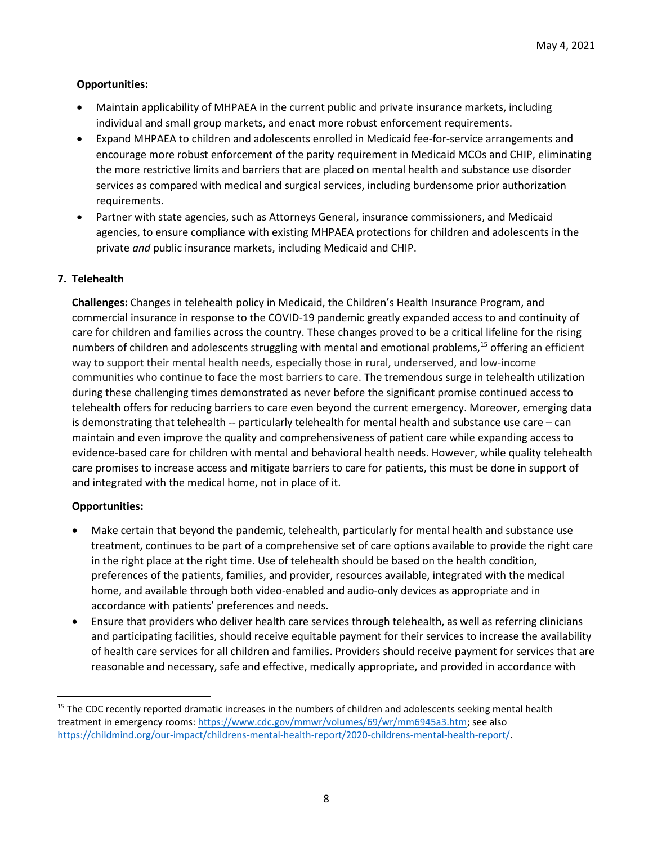## **Opportunities:**

- Maintain applicability of MHPAEA in the current public and private insurance markets, including individual and small group markets, and enact more robust enforcement requirements.
- Expand MHPAEA to children and adolescents enrolled in Medicaid fee-for-service arrangements and encourage more robust enforcement of the parity requirement in Medicaid MCOs and CHIP, eliminating the more restrictive limits and barriers that are placed on mental health and substance use disorder services as compared with medical and surgical services, including burdensome prior authorization requirements.
- Partner with state agencies, such as Attorneys General, insurance commissioners, and Medicaid agencies, to ensure compliance with existing MHPAEA protections for children and adolescents in the private *and* public insurance markets, including Medicaid and CHIP.

## **7. Telehealth**

**Challenges:** Changes in telehealth policy in Medicaid, the Children's Health Insurance Program, and commercial insurance in response to the COVID-19 pandemic greatly expanded access to and continuity of care for children and families across the country. These changes proved to be a critical lifeline for the rising numbers of children and adolescents struggling with mental and emotional problems,<sup>15</sup> offering an efficient way to support their mental health needs, especially those in rural, underserved, and low-income communities who continue to face the most barriers to care. The tremendous surge in telehealth utilization during these challenging times demonstrated as never before the significant promise continued access to telehealth offers for reducing barriers to care even beyond the current emergency. Moreover, emerging data is demonstrating that telehealth -- particularly telehealth for mental health and substance use care – can maintain and even improve the quality and comprehensiveness of patient care while expanding access to evidence-based care for children with mental and behavioral health needs. However, while quality telehealth care promises to increase access and mitigate barriers to care for patients, this must be done in support of and integrated with the medical home, not in place of it.

- Make certain that beyond the pandemic, telehealth, particularly for mental health and substance use treatment, continues to be part of a comprehensive set of care options available to provide the right care in the right place at the right time. Use of telehealth should be based on the health condition, preferences of the patients, families, and provider, resources available, integrated with the medical home, and available through both video-enabled and audio-only devices as appropriate and in accordance with patients' preferences and needs.
- Ensure that providers who deliver health care services through telehealth, as well as referring clinicians and participating facilities, should receive equitable payment for their services to increase the availability of health care services for all children and families. Providers should receive payment for services that are reasonable and necessary, safe and effective, medically appropriate, and provided in accordance with

<sup>&</sup>lt;sup>15</sup> The CDC recently reported dramatic increases in the numbers of children and adolescents seeking mental health treatment in emergency rooms: [https://www.cdc.gov/mmwr/volumes/69/wr/mm6945a3.htm;](https://www.cdc.gov/mmwr/volumes/69/wr/mm6945a3.htm) see also [https://childmind.org/our-impact/childrens-mental-health-report/2020-childrens-mental-health-report/.](https://childmind.org/our-impact/childrens-mental-health-report/2020-childrens-mental-health-report/)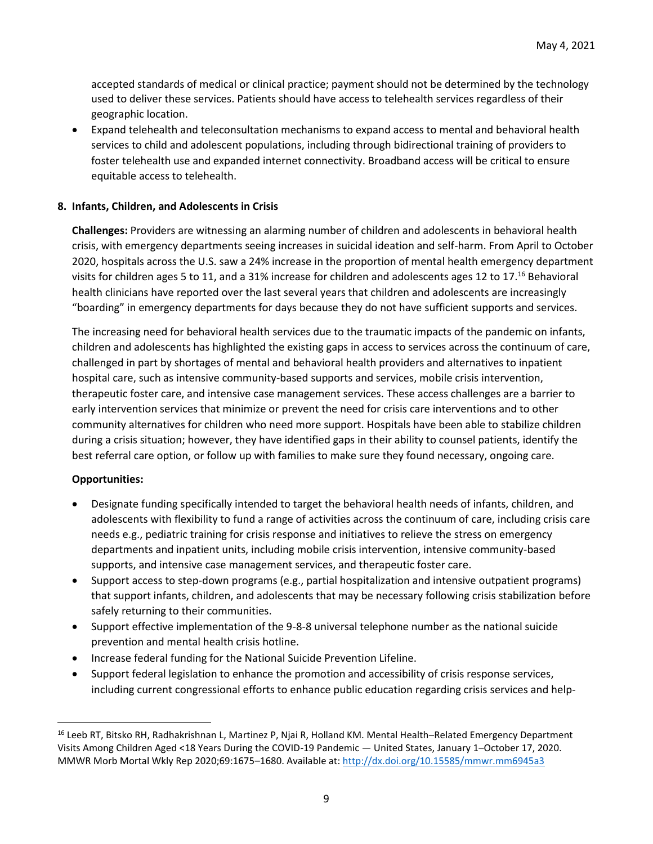accepted standards of medical or clinical practice; payment should not be determined by the technology used to deliver these services. Patients should have access to telehealth services regardless of their geographic location.

• Expand telehealth and teleconsultation mechanisms to expand access to mental and behavioral health services to child and adolescent populations, including through bidirectional training of providers to foster telehealth use and expanded internet connectivity. Broadband access will be critical to ensure equitable access to telehealth.

#### **8. Infants, Children, and Adolescents in Crisis**

**Challenges:** Providers are witnessing an alarming number of children and adolescents in behavioral health crisis, with emergency departments seeing increases in suicidal ideation and self-harm. From April to October 2020, hospitals across the U.S. saw a 24% increase in the proportion of mental health emergency department visits for children ages 5 to 11, and a 31% increase for children and adolescents ages 12 to 17.<sup>16</sup> Behavioral health clinicians have reported over the last several years that children and adolescents are increasingly "boarding" in emergency departments for days because they do not have sufficient supports and services.

The increasing need for behavioral health services due to the traumatic impacts of the pandemic on infants, children and adolescents has highlighted the existing gaps in access to services across the continuum of care, challenged in part by shortages of mental and behavioral health providers and alternatives to inpatient hospital care, such as intensive community-based supports and services, mobile crisis intervention, therapeutic foster care, and intensive case management services. These access challenges are a barrier to early intervention services that minimize or prevent the need for crisis care interventions and to other community alternatives for children who need more support. Hospitals have been able to stabilize children during a crisis situation; however, they have identified gaps in their ability to counsel patients, identify the best referral care option, or follow up with families to make sure they found necessary, ongoing care.

- Designate funding specifically intended to target the behavioral health needs of infants, children, and adolescents with flexibility to fund a range of activities across the continuum of care, including crisis care needs e.g., pediatric training for crisis response and initiatives to relieve the stress on emergency departments and inpatient units, including mobile crisis intervention, intensive community-based supports, and intensive case management services, and therapeutic foster care.
- Support access to step-down programs (e.g., partial hospitalization and intensive outpatient programs) that support infants, children, and adolescents that may be necessary following crisis stabilization before safely returning to their communities.
- Support effective implementation of the 9-8-8 universal telephone number as the national suicide prevention and mental health crisis hotline.
- Increase federal funding for the National Suicide Prevention Lifeline.
- Support federal legislation to enhance the promotion and accessibility of crisis response services, including current congressional efforts to enhance public education regarding crisis services and help-

<sup>&</sup>lt;sup>16</sup> Leeb RT, Bitsko RH, Radhakrishnan L, Martinez P, Njai R, Holland KM. Mental Health–Related Emergency Department Visits Among Children Aged <18 Years During the COVID-19 Pandemic — United States, January 1–October 17, 2020. MMWR Morb Mortal Wkly Rep 2020;69:1675–1680. Available at: <http://dx.doi.org/10.15585/mmwr.mm6945a3>